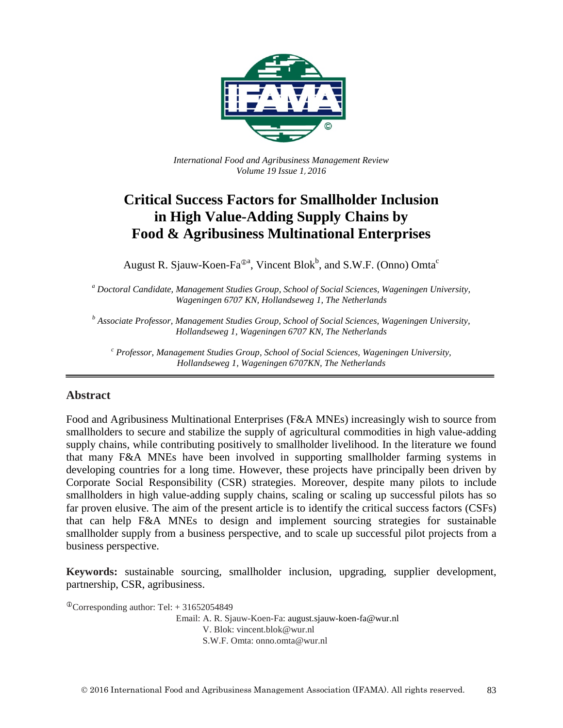

*International Food and Agribusiness Management Review Volume 19 Issue 1*, *2016*

# **Critical Success Factors for Smallholder Inclusion in High Value-Adding Supply Chains by Food & Agribusiness Multinational Enterprises**

August R. Sjauw-Koen-Fa $^{\oplus a}$ , Vincent Blok $^b$ , and S.W.F. (Onno) Omta<sup>c</sup>

*<sup>a</sup> Doctoral Candidate, Management Studies Group, School of Social Sciences, Wageningen University, Wageningen 6707 KN, Hollandseweg 1, The Netherlands*

*<sup>b</sup> Associate Professor, Management Studies Group, School of Social Sciences, Wageningen University, Hollandseweg 1, Wageningen 6707 KN, The Netherlands*

*<sup>c</sup> Professor, Management Studies Group, School of Social Sciences, Wageningen University, Hollandseweg 1, Wageningen 6707KN, The Netherlands*

#### **Abstract**

Food and Agribusiness Multinational Enterprises (F&A MNEs) increasingly wish to source from smallholders to secure and stabilize the supply of agricultural commodities in high value-adding supply chains, while contributing positively to smallholder livelihood. In the literature we found that many F&A MNEs have been involved in supporting smallholder farming systems in developing countries for a long time. However, these projects have principally been driven by Corporate Social Responsibility (CSR) strategies. Moreover, despite many pilots to include smallholders in high value-adding supply chains, scaling or scaling up successful pilots has so far proven elusive. The aim of the present article is to identify the critical success factors (CSFs) that can help F&A MNEs to design and implement sourcing strategies for sustainable smallholder supply from a business perspective, and to scale up successful pilot projects from a business perspective.

**Keywords:** sustainable sourcing, smallholder inclusion, upgrading, supplier development, partnership, CSR, agribusiness.

 $^{\circ}$ Corresponding author: Tel: + 31652054849 Email: A. R. Sjauw-Koen-Fa: august.sjauw-koen-fa@wur.nl V. Blok: vincent.blok@wur.nl S.W.F. Omta: onno.omta@wur.nl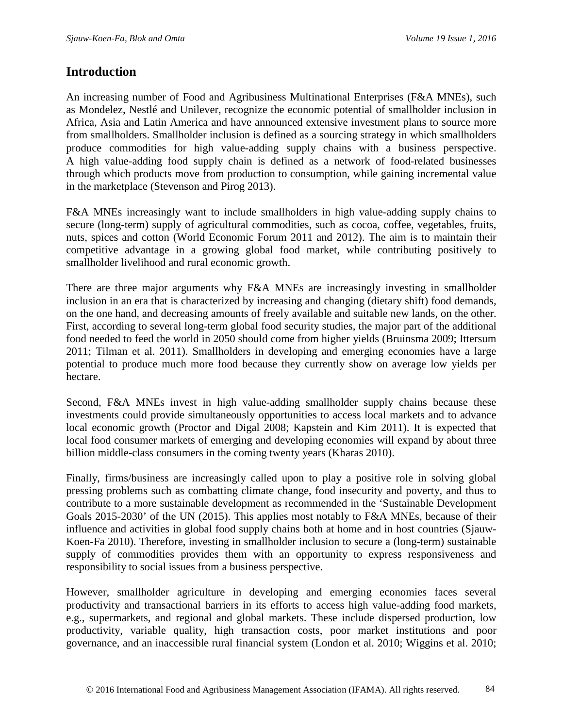### **Introduction**

An increasing number of Food and Agribusiness Multinational Enterprises (F&A MNEs), such as Mondelez, Nestlé and Unilever, recognize the economic potential of smallholder inclusion in Africa, Asia and Latin America and have announced extensive investment plans to source more from smallholders. Smallholder inclusion is defined as a sourcing strategy in which smallholders produce commodities for high value-adding supply chains with a business perspective. A high value-adding food supply chain is defined as a network of food-related businesses through which products move from production to consumption, while gaining incremental value in the marketplace (Stevenson and Pirog 2013).

F&A MNEs increasingly want to include smallholders in high value-adding supply chains to secure (long-term) supply of agricultural commodities, such as cocoa, coffee, vegetables, fruits, nuts, spices and cotton (World Economic Forum 2011 and 2012). The aim is to maintain their competitive advantage in a growing global food market, while contributing positively to smallholder livelihood and rural economic growth.

There are three major arguments why F&A MNEs are increasingly investing in smallholder inclusion in an era that is characterized by increasing and changing (dietary shift) food demands, on the one hand, and decreasing amounts of freely available and suitable new lands, on the other. First, according to several long-term global food security studies, the major part of the additional food needed to feed the world in 2050 should come from higher yields (Bruinsma 2009; Ittersum 2011; Tilman et al. 2011). Smallholders in developing and emerging economies have a large potential to produce much more food because they currently show on average low yields per hectare.

Second, F&A MNEs invest in high value-adding smallholder supply chains because these investments could provide simultaneously opportunities to access local markets and to advance local economic growth (Proctor and Digal 2008; Kapstein and Kim 2011). It is expected that local food consumer markets of emerging and developing economies will expand by about three billion middle-class consumers in the coming twenty years (Kharas 2010).

Finally, firms/business are increasingly called upon to play a positive role in solving global pressing problems such as combatting climate change, food insecurity and poverty, and thus to contribute to a more sustainable development as recommended in the 'Sustainable Development Goals 2015-2030' of the UN (2015). This applies most notably to F&A MNEs, because of their influence and activities in global food supply chains both at home and in host countries (Sjauw-Koen-Fa 2010). Therefore, investing in smallholder inclusion to secure a (long-term) sustainable supply of commodities provides them with an opportunity to express responsiveness and responsibility to social issues from a business perspective.

However, smallholder agriculture in developing and emerging economies faces several productivity and transactional barriers in its efforts to access high value-adding food markets, e.g., supermarkets, and regional and global markets. These include dispersed production, low productivity, variable quality, high transaction costs, poor market institutions and poor governance, and an inaccessible rural financial system (London et al. 2010; Wiggins et al. 2010;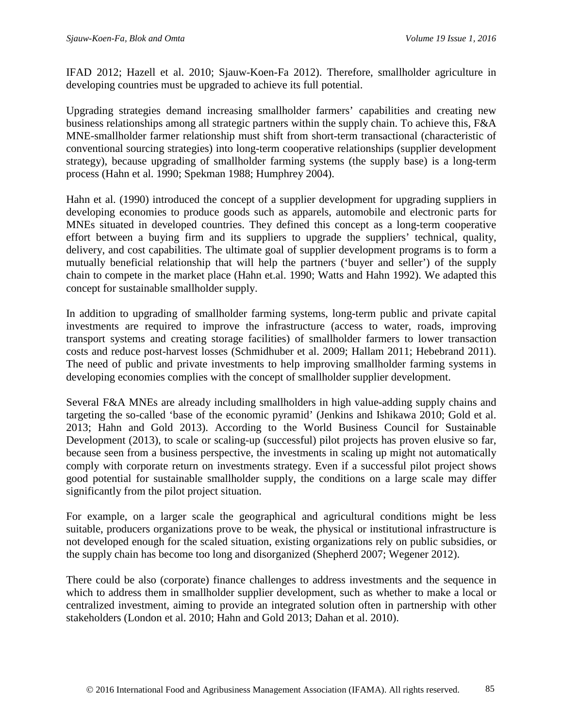IFAD 2012; Hazell et al. 2010; Sjauw-Koen-Fa 2012). Therefore, smallholder agriculture in developing countries must be upgraded to achieve its full potential.

Upgrading strategies demand increasing smallholder farmers' capabilities and creating new business relationships among all strategic partners within the supply chain. To achieve this, F&A MNE-smallholder farmer relationship must shift from short-term transactional (characteristic of conventional sourcing strategies) into long-term cooperative relationships (supplier development strategy), because upgrading of smallholder farming systems (the supply base) is a long-term process (Hahn et al. 1990; Spekman 1988; Humphrey 2004).

Hahn et al. (1990) introduced the concept of a supplier development for upgrading suppliers in developing economies to produce goods such as apparels, automobile and electronic parts for MNEs situated in developed countries. They defined this concept as a long-term cooperative effort between a buying firm and its suppliers to upgrade the suppliers' technical, quality, delivery, and cost capabilities. The ultimate goal of supplier development programs is to form a mutually beneficial relationship that will help the partners ('buyer and seller') of the supply chain to compete in the market place (Hahn et.al. 1990; Watts and Hahn 1992). We adapted this concept for sustainable smallholder supply.

In addition to upgrading of smallholder farming systems, long-term public and private capital investments are required to improve the infrastructure (access to water, roads, improving transport systems and creating storage facilities) of smallholder farmers to lower transaction costs and reduce post-harvest losses (Schmidhuber et al. 2009; Hallam 2011; Hebebrand 2011). The need of public and private investments to help improving smallholder farming systems in developing economies complies with the concept of smallholder supplier development.

Several F&A MNEs are already including smallholders in high value-adding supply chains and targeting the so-called 'base of the economic pyramid' (Jenkins and Ishikawa 2010; Gold et al. 2013; Hahn and Gold 2013). According to the World Business Council for Sustainable Development (2013), to scale or scaling-up (successful) pilot projects has proven elusive so far, because seen from a business perspective, the investments in scaling up might not automatically comply with corporate return on investments strategy. Even if a successful pilot project shows good potential for sustainable smallholder supply, the conditions on a large scale may differ significantly from the pilot project situation.

For example, on a larger scale the geographical and agricultural conditions might be less suitable, producers organizations prove to be weak, the physical or institutional infrastructure is not developed enough for the scaled situation, existing organizations rely on public subsidies, or the supply chain has become too long and disorganized (Shepherd 2007; Wegener 2012).

There could be also (corporate) finance challenges to address investments and the sequence in which to address them in smallholder supplier development, such as whether to make a local or centralized investment, aiming to provide an integrated solution often in partnership with other stakeholders (London et al. 2010; Hahn and Gold 2013; Dahan et al. 2010).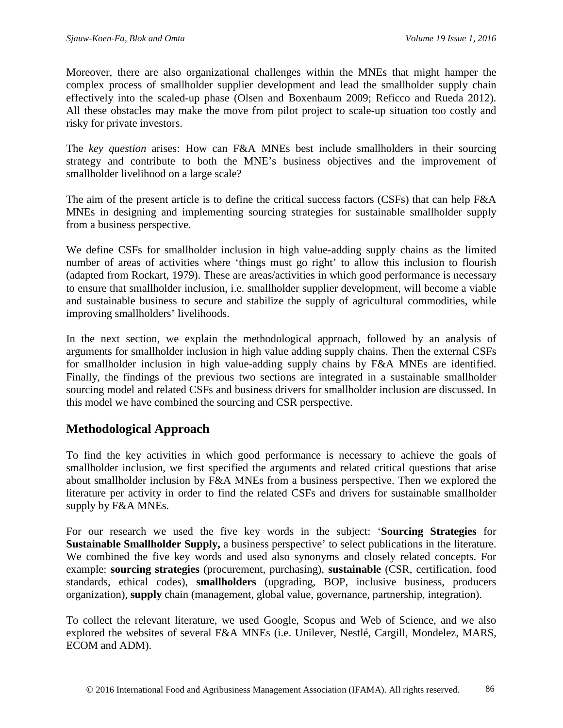Moreover, there are also organizational challenges within the MNEs that might hamper the complex process of smallholder supplier development and lead the smallholder supply chain effectively into the scaled-up phase (Olsen and Boxenbaum 2009; Reficco and Rueda 2012). All these obstacles may make the move from pilot project to scale-up situation too costly and risky for private investors.

The *key question* arises: How can F&A MNEs best include smallholders in their sourcing strategy and contribute to both the MNE's business objectives and the improvement of smallholder livelihood on a large scale?

The aim of the present article is to define the critical success factors (CSFs) that can help F&A MNEs in designing and implementing sourcing strategies for sustainable smallholder supply from a business perspective.

We define CSFs for smallholder inclusion in high value-adding supply chains as the limited number of areas of activities where 'things must go right' to allow this inclusion to flourish (adapted from Rockart, 1979). These are areas/activities in which good performance is necessary to ensure that smallholder inclusion, i.e. smallholder supplier development, will become a viable and sustainable business to secure and stabilize the supply of agricultural commodities, while improving smallholders' livelihoods.

In the next section, we explain the methodological approach, followed by an analysis of arguments for smallholder inclusion in high value adding supply chains. Then the external CSFs for smallholder inclusion in high value-adding supply chains by F&A MNEs are identified. Finally, the findings of the previous two sections are integrated in a sustainable smallholder sourcing model and related CSFs and business drivers for smallholder inclusion are discussed. In this model we have combined the sourcing and CSR perspective.

# **Methodological Approach**

To find the key activities in which good performance is necessary to achieve the goals of smallholder inclusion, we first specified the arguments and related critical questions that arise about smallholder inclusion by F&A MNEs from a business perspective. Then we explored the literature per activity in order to find the related CSFs and drivers for sustainable smallholder supply by F&A MNEs.

For our research we used the five key words in the subject: '**Sourcing Strategies** for **Sustainable Smallholder Supply,** a business perspective' to select publications in the literature. We combined the five key words and used also synonyms and closely related concepts. For example: **sourcing strategies** (procurement, purchasing), **sustainable** (CSR, certification, food standards, ethical codes), **smallholders** (upgrading, BOP, inclusive business, producers organization), **supply** chain (management, global value, governance, partnership, integration).

To collect the relevant literature, we used Google, Scopus and Web of Science, and we also explored the websites of several F&A MNEs (i.e. Unilever, Nestlé, Cargill, Mondelez, MARS, ECOM and ADM).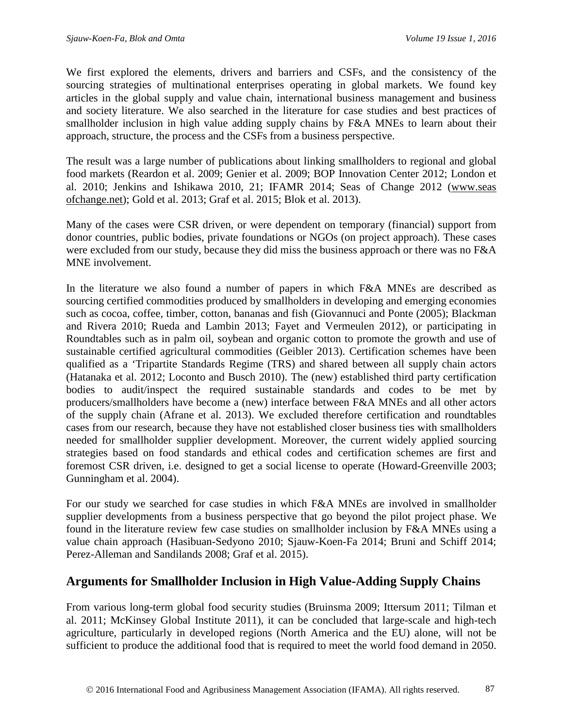We first explored the elements, drivers and barriers and CSFs, and the consistency of the sourcing strategies of multinational enterprises operating in global markets. We found key articles in the global supply and value chain, international business management and business and society literature. We also searched in the literature for case studies and best practices of smallholder inclusion in high value adding supply chains by F&A MNEs to learn about their approach, structure, the process and the CSFs from a business perspective.

The result was a large number of publications about linking smallholders to regional and global food markets (Reardon et al. 2009; Genier et al. 2009; BOP Innovation Center 2012; London et al. 2010; Jenkins and Ishikawa 2010, 21; IFAMR 2014; Seas of Change 2012 (www.seas ofchange.net); Gold et al. 2013; Graf et al. 2015; Blok et al. 2013).

Many of the cases were CSR driven, or were dependent on temporary (financial) support from donor countries, public bodies, private foundations or NGOs (on project approach). These cases were excluded from our study, because they did miss the business approach or there was no F&A MNE involvement.

In the literature we also found a number of papers in which F&A MNEs are described as sourcing certified commodities produced by smallholders in developing and emerging economies such as cocoa, coffee, timber, cotton, bananas and fish (Giovannuci and Ponte (2005); Blackman and Rivera 2010; Rueda and Lambin 2013; Fayet and Vermeulen 2012), or participating in Roundtables such as in palm oil, soybean and organic cotton to promote the growth and use of sustainable certified agricultural commodities (Geibler 2013). Certification schemes have been qualified as a 'Tripartite Standards Regime (TRS) and shared between all supply chain actors (Hatanaka et al. 2012; Loconto and Busch 2010). The (new) established third party certification bodies to audit/inspect the required sustainable standards and codes to be met by producers/smallholders have become a (new) interface between F&A MNEs and all other actors of the supply chain (Afrane et al. 2013). We excluded therefore certification and roundtables cases from our research, because they have not established closer business ties with smallholders needed for smallholder supplier development. Moreover, the current widely applied sourcing strategies based on food standards and ethical codes and certification schemes are first and foremost CSR driven, i.e. designed to get a social license to operate (Howard-Greenville 2003; Gunningham et al. 2004).

For our study we searched for case studies in which F&A MNEs are involved in smallholder supplier developments from a business perspective that go beyond the pilot project phase. We found in the literature review few case studies on smallholder inclusion by F&A MNEs using a value chain approach (Hasibuan-Sedyono 2010; Sjauw-Koen-Fa 2014; Bruni and Schiff 2014; Perez-Alleman and Sandilands 2008; Graf et al. 2015).

### **Arguments for Smallholder Inclusion in High Value-Adding Supply Chains**

From various long-term global food security studies (Bruinsma 2009; Ittersum 2011; Tilman et al. 2011; McKinsey Global Institute 2011), it can be concluded that large-scale and high-tech agriculture, particularly in developed regions (North America and the EU) alone, will not be sufficient to produce the additional food that is required to meet the world food demand in 2050.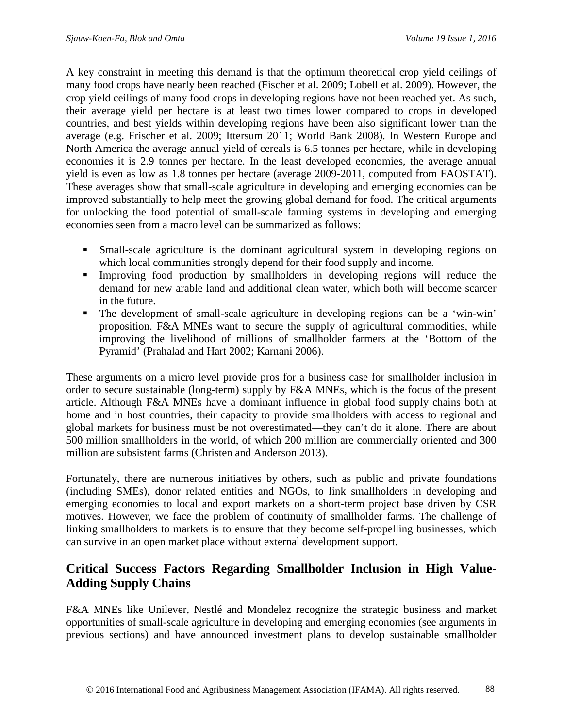A key constraint in meeting this demand is that the optimum theoretical crop yield ceilings of many food crops have nearly been reached (Fischer et al. 2009; Lobell et al. 2009). However, the crop yield ceilings of many food crops in developing regions have not been reached yet. As such, their average yield per hectare is at least two times lower compared to crops in developed countries, and best yields within developing regions have been also significant lower than the average (e.g. Frischer et al. 2009; Ittersum 2011; World Bank 2008). In Western Europe and North America the average annual yield of cereals is 6.5 tonnes per hectare, while in developing economies it is 2.9 tonnes per hectare. In the least developed economies, the average annual yield is even as low as 1.8 tonnes per hectare (average 2009-2011, computed from FAOSTAT). These averages show that small-scale agriculture in developing and emerging economies can be improved substantially to help meet the growing global demand for food. The critical arguments for unlocking the food potential of small-scale farming systems in developing and emerging economies seen from a macro level can be summarized as follows:

- Small-scale agriculture is the dominant agricultural system in developing regions on which local communities strongly depend for their food supply and income.
- Improving food production by smallholders in developing regions will reduce the demand for new arable land and additional clean water, which both will become scarcer in the future.
- The development of small-scale agriculture in developing regions can be a 'win-win' proposition. F&A MNEs want to secure the supply of agricultural commodities, while improving the livelihood of millions of smallholder farmers at the 'Bottom of the Pyramid' (Prahalad and Hart 2002; Karnani 2006).

These arguments on a micro level provide pros for a business case for smallholder inclusion in order to secure sustainable (long-term) supply by F&A MNEs, which is the focus of the present article. Although F&A MNEs have a dominant influence in global food supply chains both at home and in host countries, their capacity to provide smallholders with access to regional and global markets for business must be not overestimated—they can't do it alone. There are about 500 million smallholders in the world, of which 200 million are commercially oriented and 300 million are subsistent farms (Christen and Anderson 2013).

Fortunately, there are numerous initiatives by others, such as public and private foundations (including SMEs), donor related entities and NGOs, to link smallholders in developing and emerging economies to local and export markets on a short-term project base driven by CSR motives. However, we face the problem of continuity of smallholder farms. The challenge of linking smallholders to markets is to ensure that they become self-propelling businesses, which can survive in an open market place without external development support.

# **Critical Success Factors Regarding Smallholder Inclusion in High Value-Adding Supply Chains**

F&A MNEs like Unilever, Nestlé and Mondelez recognize the strategic business and market opportunities of small-scale agriculture in developing and emerging economies (see arguments in previous sections) and have announced investment plans to develop sustainable smallholder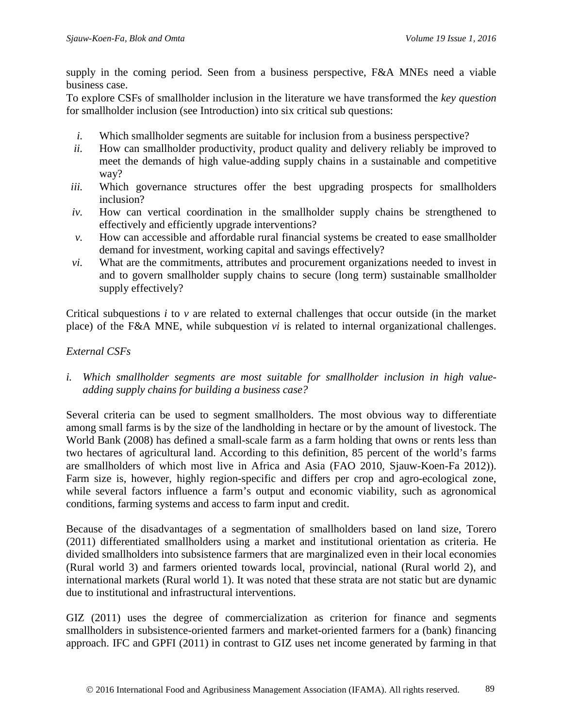supply in the coming period. Seen from a business perspective, F&A MNEs need a viable business case.

To explore CSFs of smallholder inclusion in the literature we have transformed the *key question* for smallholder inclusion (see Introduction) into six critical sub questions:

- *i.* Which smallholder segments are suitable for inclusion from a business perspective?
- *ii.* How can smallholder productivity, product quality and delivery reliably be improved to meet the demands of high value-adding supply chains in a sustainable and competitive way?
- *iii.* Which governance structures offer the best upgrading prospects for smallholders inclusion?
- *iv.* How can vertical coordination in the smallholder supply chains be strengthened to effectively and efficiently upgrade interventions?
- *v.* How can accessible and affordable rural financial systems be created to ease smallholder demand for investment, working capital and savings effectively?
- *vi.* What are the commitments, attributes and procurement organizations needed to invest in and to govern smallholder supply chains to secure (long term) sustainable smallholder supply effectively?

Critical subquestions *i* to *v* are related to external challenges that occur outside (in the market place) of the F&A MNE, while subquestion *vi* is related to internal organizational challenges.

### *External CSFs*

*i. Which smallholder segments are most suitable for smallholder inclusion in high valueadding supply chains for building a business case?*

Several criteria can be used to segment smallholders. The most obvious way to differentiate among small farms is by the size of the landholding in hectare or by the amount of livestock. The World Bank (2008) has defined a small-scale farm as a farm holding that owns or rents less than two hectares of agricultural land. According to this definition, 85 percent of the world's farms are smallholders of which most live in Africa and Asia (FAO 2010, Sjauw-Koen-Fa 2012)). Farm size is, however, highly region-specific and differs per crop and agro-ecological zone, while several factors influence a farm's output and economic viability, such as agronomical conditions, farming systems and access to farm input and credit.

Because of the disadvantages of a segmentation of smallholders based on land size, Torero (2011) differentiated smallholders using a market and institutional orientation as criteria. He divided smallholders into subsistence farmers that are marginalized even in their local economies (Rural world 3) and farmers oriented towards local, provincial, national (Rural world 2), and international markets (Rural world 1). It was noted that these strata are not static but are dynamic due to institutional and infrastructural interventions.

GIZ (2011) uses the degree of commercialization as criterion for finance and segments smallholders in subsistence-oriented farmers and market-oriented farmers for a (bank) financing approach. IFC and GPFI (2011) in contrast to GIZ uses net income generated by farming in that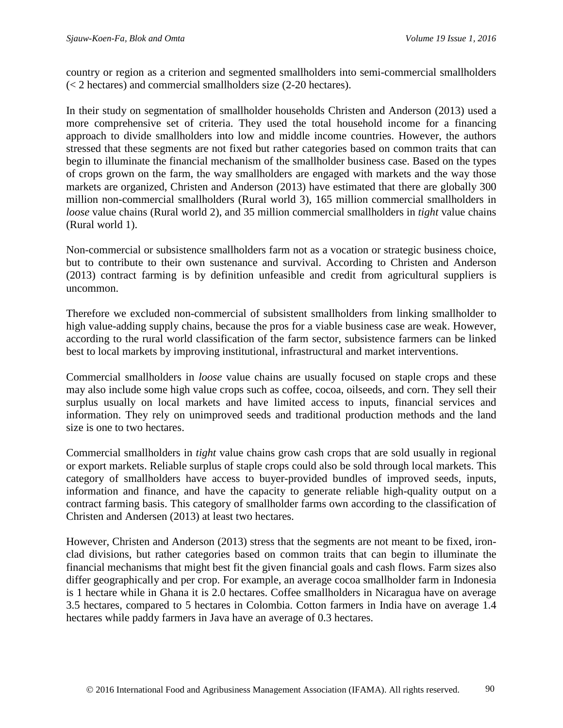country or region as a criterion and segmented smallholders into semi-commercial smallholders (< 2 hectares) and commercial smallholders size (2-20 hectares).

In their study on segmentation of smallholder households Christen and Anderson (2013) used a more comprehensive set of criteria. They used the total household income for a financing approach to divide smallholders into low and middle income countries. However, the authors stressed that these segments are not fixed but rather categories based on common traits that can begin to illuminate the financial mechanism of the smallholder business case. Based on the types of crops grown on the farm, the way smallholders are engaged with markets and the way those markets are organized, Christen and Anderson (2013) have estimated that there are globally 300 million non-commercial smallholders (Rural world 3), 165 million commercial smallholders in *loose* value chains (Rural world 2), and 35 million commercial smallholders in *tight* value chains (Rural world 1).

Non-commercial or subsistence smallholders farm not as a vocation or strategic business choice, but to contribute to their own sustenance and survival. According to Christen and Anderson (2013) contract farming is by definition unfeasible and credit from agricultural suppliers is uncommon.

Therefore we excluded non-commercial of subsistent smallholders from linking smallholder to high value-adding supply chains, because the pros for a viable business case are weak. However, according to the rural world classification of the farm sector, subsistence farmers can be linked best to local markets by improving institutional, infrastructural and market interventions.

Commercial smallholders in *loose* value chains are usually focused on staple crops and these may also include some high value crops such as coffee, cocoa, oilseeds, and corn. They sell their surplus usually on local markets and have limited access to inputs, financial services and information. They rely on unimproved seeds and traditional production methods and the land size is one to two hectares.

Commercial smallholders in *tight* value chains grow cash crops that are sold usually in regional or export markets. Reliable surplus of staple crops could also be sold through local markets. This category of smallholders have access to buyer-provided bundles of improved seeds, inputs, information and finance, and have the capacity to generate reliable high-quality output on a contract farming basis. This category of smallholder farms own according to the classification of Christen and Andersen (2013) at least two hectares.

However, Christen and Anderson (2013) stress that the segments are not meant to be fixed, ironclad divisions, but rather categories based on common traits that can begin to illuminate the financial mechanisms that might best fit the given financial goals and cash flows. Farm sizes also differ geographically and per crop. For example, an average cocoa smallholder farm in Indonesia is 1 hectare while in Ghana it is 2.0 hectares. Coffee smallholders in Nicaragua have on average 3.5 hectares, compared to 5 hectares in Colombia. Cotton farmers in India have on average 1.4 hectares while paddy farmers in Java have an average of 0.3 hectares.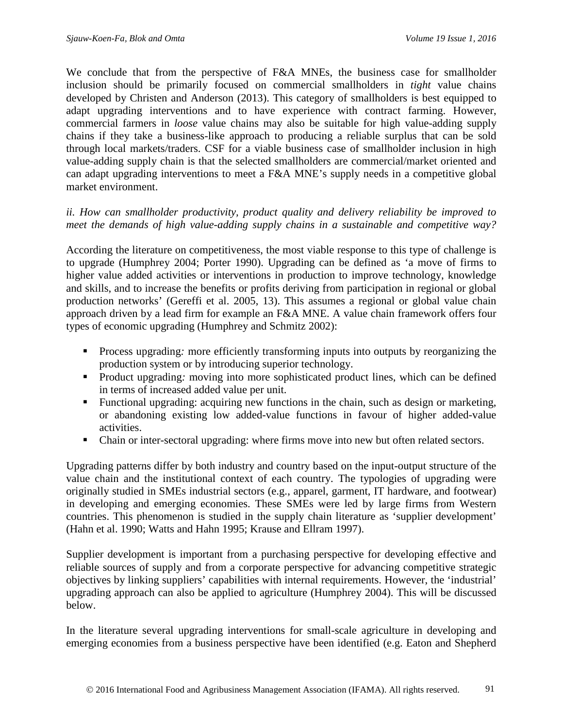We conclude that from the perspective of F&A MNEs, the business case for smallholder inclusion should be primarily focused on commercial smallholders in *tight* value chains developed by Christen and Anderson (2013). This category of smallholders is best equipped to adapt upgrading interventions and to have experience with contract farming. However, commercial farmers in *loose* value chains may also be suitable for high value-adding supply chains if they take a business-like approach to producing a reliable surplus that can be sold through local markets/traders. CSF for a viable business case of smallholder inclusion in high value-adding supply chain is that the selected smallholders are commercial/market oriented and can adapt upgrading interventions to meet a F&A MNE's supply needs in a competitive global market environment.

#### *ii. How can smallholder productivity, product quality and delivery reliability be improved to meet the demands of high value-adding supply chains in a sustainable and competitive way?*

According the literature on competitiveness, the most viable response to this type of challenge is to upgrade (Humphrey 2004; Porter 1990). Upgrading can be defined as 'a move of firms to higher value added activities or interventions in production to improve technology, knowledge and skills, and to increase the benefits or profits deriving from participation in regional or global production networks' (Gereffi et al. 2005, 13). This assumes a regional or global value chain approach driven by a lead firm for example an F&A MNE. A value chain framework offers four types of economic upgrading (Humphrey and Schmitz 2002):

- Process upgrading*:* more efficiently transforming inputs into outputs by reorganizing the production system or by introducing superior technology.
- **Product upgrading:** moving into more sophisticated product lines, which can be defined in terms of increased added value per unit.
- Functional upgrading: acquiring new functions in the chain, such as design or marketing, or abandoning existing low added-value functions in favour of higher added-value activities.
- Chain or inter-sectoral upgrading: where firms move into new but often related sectors.

Upgrading patterns differ by both industry and country based on the input-output structure of the value chain and the institutional context of each country. The typologies of upgrading were originally studied in SMEs industrial sectors (e.g., apparel, garment, IT hardware, and footwear) in developing and emerging economies. These SMEs were led by large firms from Western countries. This phenomenon is studied in the supply chain literature as 'supplier development' (Hahn et al. 1990; Watts and Hahn 1995; Krause and Ellram 1997).

Supplier development is important from a purchasing perspective for developing effective and reliable sources of supply and from a corporate perspective for advancing competitive strategic objectives by linking suppliers' capabilities with internal requirements. However, the 'industrial' upgrading approach can also be applied to agriculture (Humphrey 2004). This will be discussed below.

In the literature several upgrading interventions for small-scale agriculture in developing and emerging economies from a business perspective have been identified (e.g. Eaton and Shepherd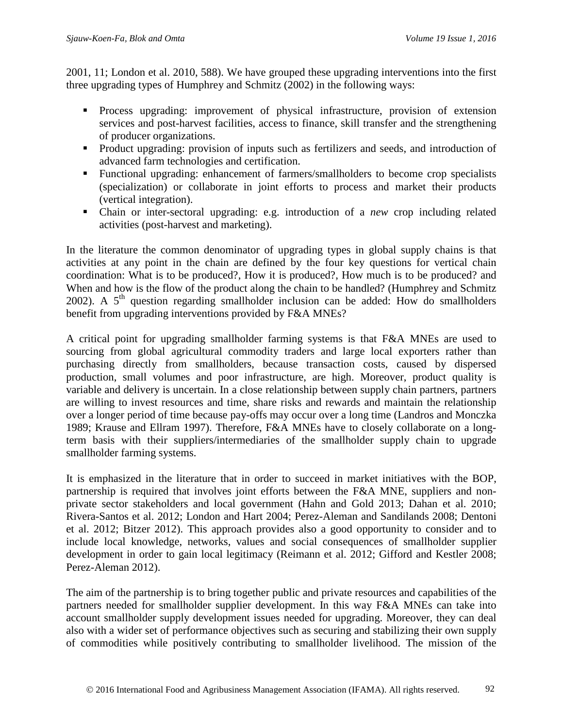2001, 11; London et al. 2010, 588). We have grouped these upgrading interventions into the first three upgrading types of Humphrey and Schmitz (2002) in the following ways:

- Process upgrading: improvement of physical infrastructure, provision of extension services and post-harvest facilities, access to finance, skill transfer and the strengthening of producer organizations.
- Product upgrading: provision of inputs such as fertilizers and seeds, and introduction of advanced farm technologies and certification.
- Functional upgrading: enhancement of farmers/smallholders to become crop specialists (specialization) or collaborate in joint efforts to process and market their products (vertical integration).
- Chain or inter-sectoral upgrading: e.g. introduction of a *new* crop including related activities (post-harvest and marketing).

In the literature the common denominator of upgrading types in global supply chains is that activities at any point in the chain are defined by the four key questions for vertical chain coordination: What is to be produced?, How it is produced?, How much is to be produced? and When and how is the flow of the product along the chain to be handled? (Humphrey and Schmitz 2002). A  $5<sup>th</sup>$  question regarding smallholder inclusion can be added: How do smallholders benefit from upgrading interventions provided by F&A MNEs?

A critical point for upgrading smallholder farming systems is that F&A MNEs are used to sourcing from global agricultural commodity traders and large local exporters rather than purchasing directly from smallholders, because transaction costs, caused by dispersed production, small volumes and poor infrastructure, are high. Moreover, product quality is variable and delivery is uncertain. In a close relationship between supply chain partners, partners are willing to invest resources and time, share risks and rewards and maintain the relationship over a longer period of time because pay-offs may occur over a long time (Landros and Monczka 1989; Krause and Ellram 1997). Therefore, F&A MNEs have to closely collaborate on a longterm basis with their suppliers/intermediaries of the smallholder supply chain to upgrade smallholder farming systems.

It is emphasized in the literature that in order to succeed in market initiatives with the BOP, partnership is required that involves joint efforts between the F&A MNE, suppliers and nonprivate sector stakeholders and local government (Hahn and Gold 2013; Dahan et al. 2010; Rivera-Santos et al. 2012; London and Hart 2004; Perez-Aleman and Sandilands 2008; Dentoni et al. 2012; Bitzer 2012). This approach provides also a good opportunity to consider and to include local knowledge, networks, values and social consequences of smallholder supplier development in order to gain local legitimacy (Reimann et al. 2012; Gifford and Kestler 2008; Perez-Aleman 2012).

The aim of the partnership is to bring together public and private resources and capabilities of the partners needed for smallholder supplier development. In this way F&A MNEs can take into account smallholder supply development issues needed for upgrading. Moreover, they can deal also with a wider set of performance objectives such as securing and stabilizing their own supply of commodities while positively contributing to smallholder livelihood. The mission of the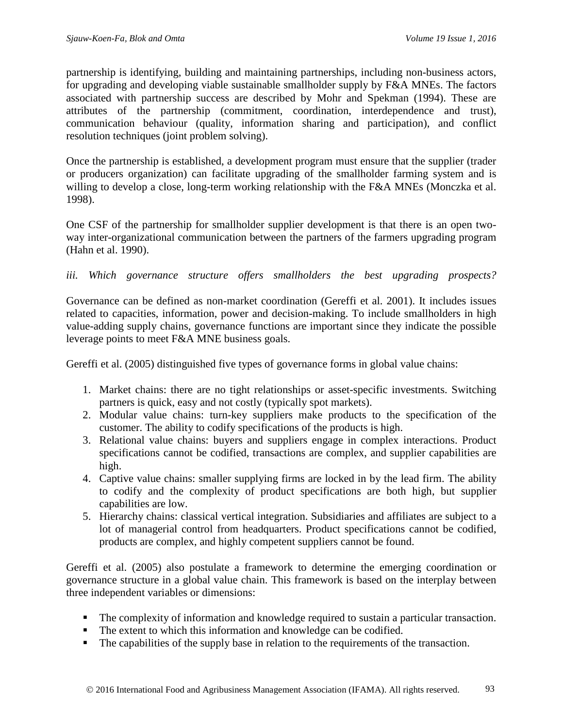partnership is identifying, building and maintaining partnerships, including non-business actors, for upgrading and developing viable sustainable smallholder supply by F&A MNEs. The factors associated with partnership success are described by Mohr and Spekman (1994). These are attributes of the partnership (commitment, coordination, interdependence and trust), communication behaviour (quality, information sharing and participation), and conflict resolution techniques (joint problem solving).

Once the partnership is established, a development program must ensure that the supplier (trader or producers organization) can facilitate upgrading of the smallholder farming system and is willing to develop a close, long-term working relationship with the F&A MNEs (Monczka et al. 1998).

One CSF of the partnership for smallholder supplier development is that there is an open twoway inter-organizational communication between the partners of the farmers upgrading program (Hahn et al. 1990).

#### *iii. Which governance structure offers smallholders the best upgrading prospects?*

Governance can be defined as non-market coordination (Gereffi et al. 2001). It includes issues related to capacities, information, power and decision-making. To include smallholders in high value-adding supply chains, governance functions are important since they indicate the possible leverage points to meet F&A MNE business goals.

Gereffi et al. (2005) distinguished five types of governance forms in global value chains:

- 1. Market chains: there are no tight relationships or asset-specific investments. Switching partners is quick, easy and not costly (typically spot markets).
- 2. Modular value chains: turn-key suppliers make products to the specification of the customer. The ability to codify specifications of the products is high.
- 3. Relational value chains: buyers and suppliers engage in complex interactions. Product specifications cannot be codified, transactions are complex, and supplier capabilities are high.
- 4. Captive value chains: smaller supplying firms are locked in by the lead firm. The ability to codify and the complexity of product specifications are both high, but supplier capabilities are low.
- 5. Hierarchy chains: classical vertical integration. Subsidiaries and affiliates are subject to a lot of managerial control from headquarters. Product specifications cannot be codified, products are complex, and highly competent suppliers cannot be found.

Gereffi et al. (2005) also postulate a framework to determine the emerging coordination or governance structure in a global value chain. This framework is based on the interplay between three independent variables or dimensions:

- The complexity of information and knowledge required to sustain a particular transaction.
- The extent to which this information and knowledge can be codified.
- The capabilities of the supply base in relation to the requirements of the transaction.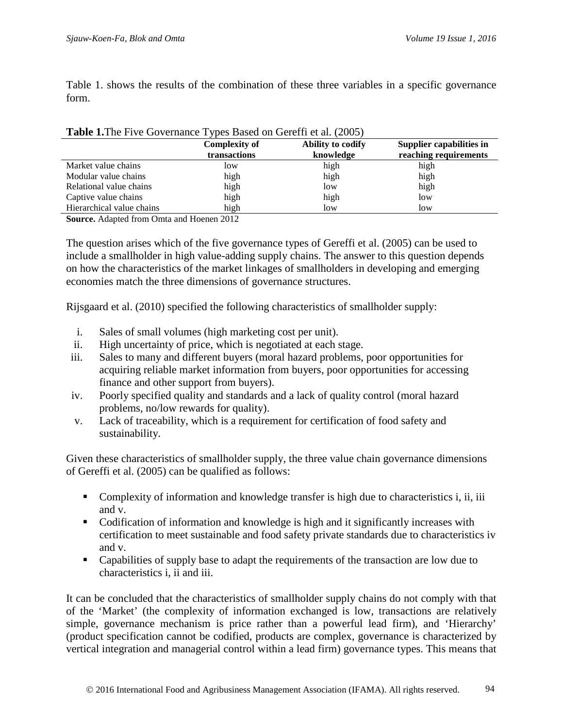Table 1. shows the results of the combination of these three variables in a specific governance form.

|                           | <b>Complexity of</b> | Ability to codify | Supplier capabilities in |
|---------------------------|----------------------|-------------------|--------------------------|
|                           | transactions         | knowledge         | reaching requirements    |
| Market value chains       | low                  | high              | high                     |
| Modular value chains      | high                 | high              | high                     |
| Relational value chains   | high                 | low               | high                     |
| Captive value chains      | high                 | high              | low                      |
| Hierarchical value chains | high                 | low               | low                      |

#### **Table 1.**The Five Governance Types Based on Gereffi et al. (2005)

**Source.** Adapted from Omta and Hoenen 2012

The question arises which of the five governance types of Gereffi et al. (2005) can be used to include a smallholder in high value-adding supply chains. The answer to this question depends on how the characteristics of the market linkages of smallholders in developing and emerging economies match the three dimensions of governance structures.

Rijsgaard et al. (2010) specified the following characteristics of smallholder supply:

- i. Sales of small volumes (high marketing cost per unit).
- ii. High uncertainty of price, which is negotiated at each stage.
- iii. Sales to many and different buyers (moral hazard problems, poor opportunities for acquiring reliable market information from buyers, poor opportunities for accessing finance and other support from buyers).
- iv. Poorly specified quality and standards and a lack of quality control (moral hazard problems, no/low rewards for quality).
- v. Lack of traceability, which is a requirement for certification of food safety and sustainability.

Given these characteristics of smallholder supply, the three value chain governance dimensions of Gereffi et al. (2005) can be qualified as follows:

- Complexity of information and knowledge transfer is high due to characteristics i, ii, iii and v.
- Codification of information and knowledge is high and it significantly increases with certification to meet sustainable and food safety private standards due to characteristics iv and v.
- Capabilities of supply base to adapt the requirements of the transaction are low due to characteristics i, ii and iii.

It can be concluded that the characteristics of smallholder supply chains do not comply with that of the 'Market' (the complexity of information exchanged is low, transactions are relatively simple, governance mechanism is price rather than a powerful lead firm), and 'Hierarchy' (product specification cannot be codified, products are complex, governance is characterized by vertical integration and managerial control within a lead firm) governance types. This means that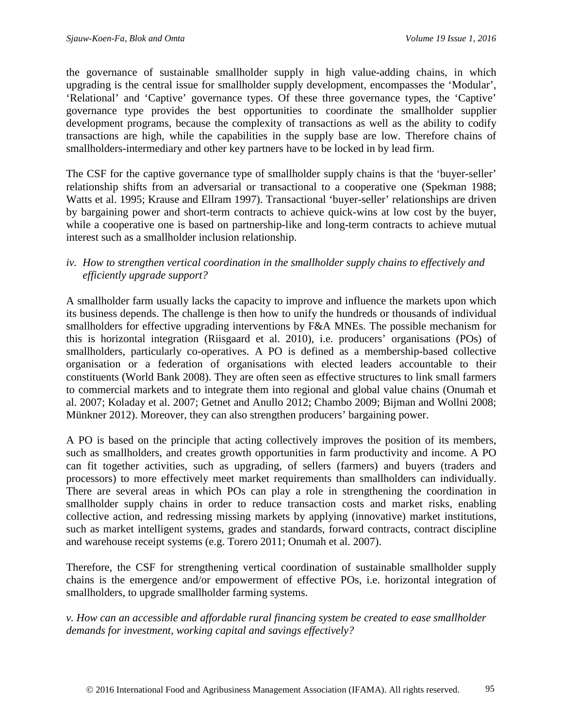the governance of sustainable smallholder supply in high value-adding chains, in which upgrading is the central issue for smallholder supply development, encompasses the 'Modular', 'Relational' and 'Captive' governance types. Of these three governance types, the 'Captive' governance type provides the best opportunities to coordinate the smallholder supplier development programs, because the complexity of transactions as well as the ability to codify transactions are high, while the capabilities in the supply base are low. Therefore chains of smallholders-intermediary and other key partners have to be locked in by lead firm.

The CSF for the captive governance type of smallholder supply chains is that the 'buyer-seller' relationship shifts from an adversarial or transactional to a cooperative one (Spekman 1988; Watts et al. 1995; Krause and Ellram 1997). Transactional 'buyer-seller' relationships are driven by bargaining power and short-term contracts to achieve quick-wins at low cost by the buyer, while a cooperative one is based on partnership-like and long-term contracts to achieve mutual interest such as a smallholder inclusion relationship.

#### *iv. How to strengthen vertical coordination in the smallholder supply chains to effectively and efficiently upgrade support?*

A smallholder farm usually lacks the capacity to improve and influence the markets upon which its business depends. The challenge is then how to unify the hundreds or thousands of individual smallholders for effective upgrading interventions by F&A MNEs. The possible mechanism for this is horizontal integration (Riisgaard et al. 2010), i.e. producers' organisations (POs) of smallholders, particularly co-operatives. A PO is defined as a membership-based collective organisation or a federation of organisations with elected leaders accountable to their constituents (World Bank 2008). They are often seen as effective structures to link small farmers to commercial markets and to integrate them into regional and global value chains (Onumah et al. 2007; Koladay et al. 2007; Getnet and Anullo 2012; Chambo 2009; Bijman and Wollni 2008; Münkner 2012). Moreover, they can also strengthen producers' bargaining power.

A PO is based on the principle that acting collectively improves the position of its members, such as smallholders, and creates growth opportunities in farm productivity and income. A PO can fit together activities, such as upgrading, of sellers (farmers) and buyers (traders and processors) to more effectively meet market requirements than smallholders can individually. There are several areas in which POs can play a role in strengthening the coordination in smallholder supply chains in order to reduce transaction costs and market risks, enabling collective action, and redressing missing markets by applying (innovative) market institutions, such as market intelligent systems, grades and standards, forward contracts, contract discipline and warehouse receipt systems (e.g. Torero 2011; Onumah et al. 2007).

Therefore, the CSF for strengthening vertical coordination of sustainable smallholder supply chains is the emergence and/or empowerment of effective POs, i.e. horizontal integration of smallholders, to upgrade smallholder farming systems.

*v. How can an accessible and affordable rural financing system be created to ease smallholder demands for investment, working capital and savings effectively?*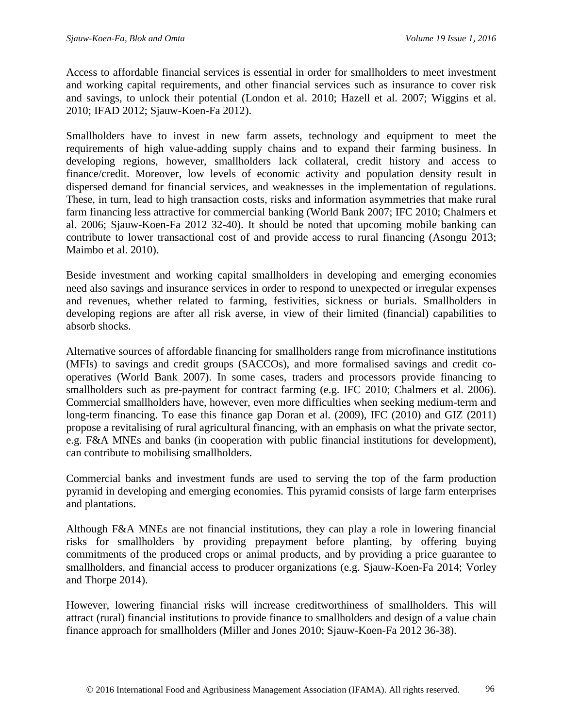Access to affordable financial services is essential in order for smallholders to meet investment and working capital requirements, and other financial services such as insurance to cover risk and savings, to unlock their potential (London et al. 2010; Hazell et al. 2007; Wiggins et al. 2010; IFAD 2012; Sjauw-Koen-Fa 2012).

Smallholders have to invest in new farm assets, technology and equipment to meet the requirements of high value-adding supply chains and to expand their farming business. In developing regions, however, smallholders lack collateral, credit history and access to finance/credit. Moreover, low levels of economic activity and population density result in dispersed demand for financial services, and weaknesses in the implementation of regulations. These, in turn, lead to high transaction costs, risks and information asymmetries that make rural farm financing less attractive for commercial banking (World Bank 2007; IFC 2010; Chalmers et al. 2006; Sjauw-Koen-Fa 2012 32-40). It should be noted that upcoming mobile banking can contribute to lower transactional cost of and provide access to rural financing (Asongu 2013; Maimbo et al. 2010).

Beside investment and working capital smallholders in developing and emerging economies need also savings and insurance services in order to respond to unexpected or irregular expenses and revenues, whether related to farming, festivities, sickness or burials. Smallholders in developing regions are after all risk averse, in view of their limited (financial) capabilities to absorb shocks.

Alternative sources of affordable financing for smallholders range from microfinance institutions (MFIs) to savings and credit groups (SACCOs), and more formalised savings and credit cooperatives (World Bank 2007). In some cases, traders and processors provide financing to smallholders such as pre-payment for contract farming (e.g. IFC 2010; Chalmers et al. 2006). Commercial smallholders have, however, even more difficulties when seeking medium-term and long-term financing. To ease this finance gap Doran et al. (2009), IFC (2010) and GIZ (2011) propose a revitalising of rural agricultural financing, with an emphasis on what the private sector, e.g. F&A MNEs and banks (in cooperation with public financial institutions for development), can contribute to mobilising smallholders.

Commercial banks and investment funds are used to serving the top of the farm production pyramid in developing and emerging economies. This pyramid consists of large farm enterprises and plantations.

Although F&A MNEs are not financial institutions, they can play a role in lowering financial risks for smallholders by providing prepayment before planting, by offering buying commitments of the produced crops or animal products, and by providing a price guarantee to smallholders, and financial access to producer organizations (e.g. Sjauw-Koen-Fa 2014; Vorley and Thorpe 2014).

However, lowering financial risks will increase creditworthiness of smallholders. This will attract (rural) financial institutions to provide finance to smallholders and design of a value chain finance approach for smallholders (Miller and Jones 2010; Sjauw-Koen-Fa 2012 36-38).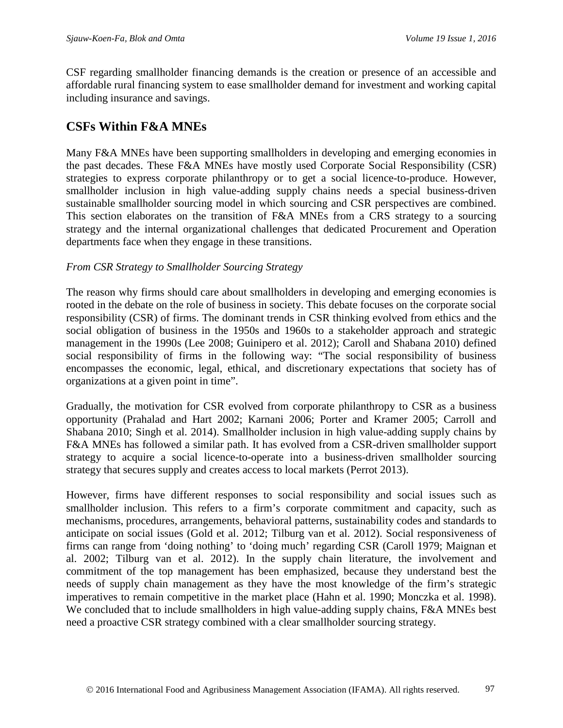CSF regarding smallholder financing demands is the creation or presence of an accessible and affordable rural financing system to ease smallholder demand for investment and working capital including insurance and savings.

### **CSFs Within F&A MNEs**

Many F&A MNEs have been supporting smallholders in developing and emerging economies in the past decades. These F&A MNEs have mostly used Corporate Social Responsibility (CSR) strategies to express corporate philanthropy or to get a social licence-to-produce. However, smallholder inclusion in high value-adding supply chains needs a special business-driven sustainable smallholder sourcing model in which sourcing and CSR perspectives are combined. This section elaborates on the transition of F&A MNEs from a CRS strategy to a sourcing strategy and the internal organizational challenges that dedicated Procurement and Operation departments face when they engage in these transitions.

#### *From CSR Strategy to Smallholder Sourcing Strategy*

The reason why firms should care about smallholders in developing and emerging economies is rooted in the debate on the role of business in society. This debate focuses on the corporate social responsibility (CSR) of firms. The dominant trends in CSR thinking evolved from ethics and the social obligation of business in the 1950s and 1960s to a stakeholder approach and strategic management in the 1990s (Lee 2008; Guinipero et al. 2012); Caroll and Shabana 2010) defined social responsibility of firms in the following way: "The social responsibility of business encompasses the economic, legal, ethical, and discretionary expectations that society has of organizations at a given point in time".

Gradually, the motivation for CSR evolved from corporate philanthropy to CSR as a business opportunity (Prahalad and Hart 2002; Karnani 2006; Porter and Kramer 2005; Carroll and Shabana 2010; Singh et al. 2014). Smallholder inclusion in high value-adding supply chains by F&A MNEs has followed a similar path. It has evolved from a CSR-driven smallholder support strategy to acquire a social licence-to-operate into a business-driven smallholder sourcing strategy that secures supply and creates access to local markets (Perrot 2013).

However, firms have different responses to social responsibility and social issues such as smallholder inclusion. This refers to a firm's corporate commitment and capacity, such as mechanisms, procedures, arrangements, behavioral patterns, sustainability codes and standards to anticipate on social issues (Gold et al. 2012; Tilburg van et al. 2012). Social responsiveness of firms can range from 'doing nothing' to 'doing much' regarding CSR (Caroll 1979; Maignan et al. 2002; Tilburg van et al. 2012). In the supply chain literature, the involvement and commitment of the top management has been emphasized, because they understand best the needs of supply chain management as they have the most knowledge of the firm's strategic imperatives to remain competitive in the market place (Hahn et al. 1990; Monczka et al. 1998). We concluded that to include smallholders in high value-adding supply chains, F&A MNEs best need a proactive CSR strategy combined with a clear smallholder sourcing strategy.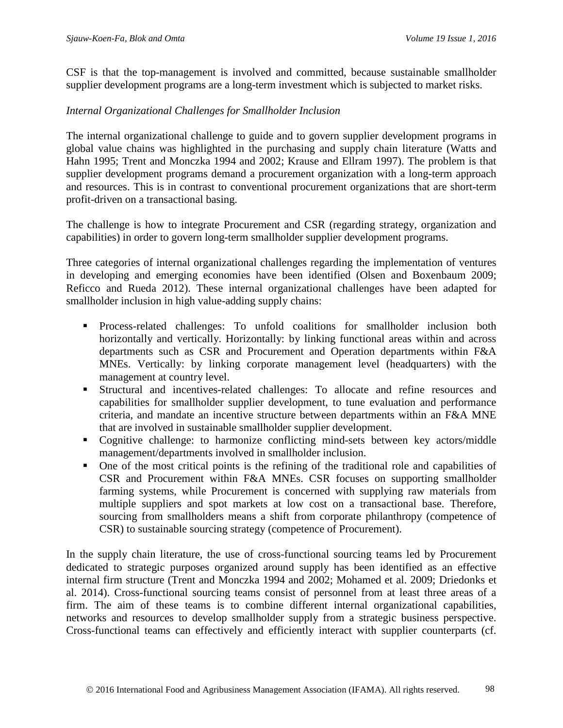CSF is that the top-management is involved and committed, because sustainable smallholder supplier development programs are a long-term investment which is subjected to market risks.

#### *Internal Organizational Challenges for Smallholder Inclusion*

The internal organizational challenge to guide and to govern supplier development programs in global value chains was highlighted in the purchasing and supply chain literature (Watts and Hahn 1995; Trent and Monczka 1994 and 2002; Krause and Ellram 1997). The problem is that supplier development programs demand a procurement organization with a long-term approach and resources. This is in contrast to conventional procurement organizations that are short-term profit-driven on a transactional basing.

The challenge is how to integrate Procurement and CSR (regarding strategy, organization and capabilities) in order to govern long-term smallholder supplier development programs.

Three categories of internal organizational challenges regarding the implementation of ventures in developing and emerging economies have been identified (Olsen and Boxenbaum 2009; Reficco and Rueda 2012). These internal organizational challenges have been adapted for smallholder inclusion in high value-adding supply chains:

- Process-related challenges: To unfold coalitions for smallholder inclusion both horizontally and vertically. Horizontally: by linking functional areas within and across departments such as CSR and Procurement and Operation departments within F&A MNEs. Vertically: by linking corporate management level (headquarters) with the management at country level.
- Structural and incentives-related challenges: To allocate and refine resources and capabilities for smallholder supplier development, to tune evaluation and performance criteria, and mandate an incentive structure between departments within an F&A MNE that are involved in sustainable smallholder supplier development.
- Cognitive challenge: to harmonize conflicting mind-sets between key actors/middle management/departments involved in smallholder inclusion.
- One of the most critical points is the refining of the traditional role and capabilities of CSR and Procurement within F&A MNEs. CSR focuses on supporting smallholder farming systems, while Procurement is concerned with supplying raw materials from multiple suppliers and spot markets at low cost on a transactional base. Therefore, sourcing from smallholders means a shift from corporate philanthropy (competence of CSR) to sustainable sourcing strategy (competence of Procurement).

In the supply chain literature, the use of cross-functional sourcing teams led by Procurement dedicated to strategic purposes organized around supply has been identified as an effective internal firm structure (Trent and Monczka 1994 and 2002; Mohamed et al. 2009; Driedonks et al. 2014). Cross-functional sourcing teams consist of personnel from at least three areas of a firm. The aim of these teams is to combine different internal organizational capabilities, networks and resources to develop smallholder supply from a strategic business perspective. Cross-functional teams can effectively and efficiently interact with supplier counterparts (cf.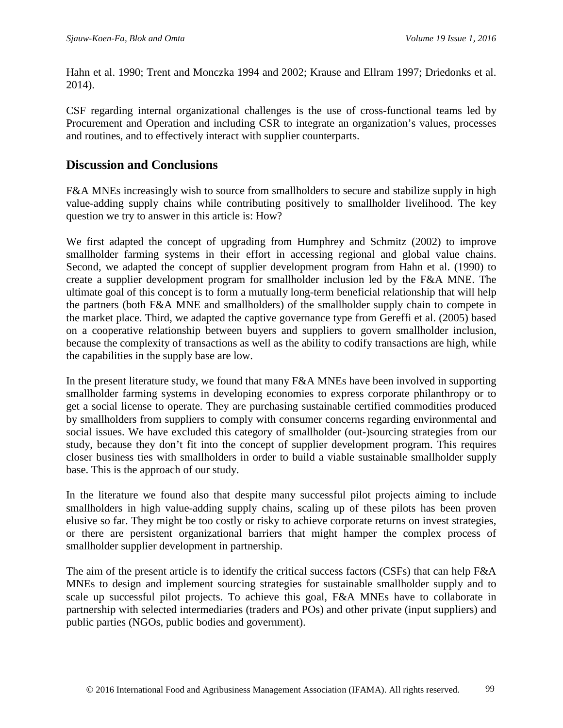Hahn et al. 1990; Trent and Monczka 1994 and 2002; Krause and Ellram 1997; Driedonks et al. 2014).

CSF regarding internal organizational challenges is the use of cross-functional teams led by Procurement and Operation and including CSR to integrate an organization's values, processes and routines, and to effectively interact with supplier counterparts.

### **Discussion and Conclusions**

F&A MNEs increasingly wish to source from smallholders to secure and stabilize supply in high value-adding supply chains while contributing positively to smallholder livelihood. The key question we try to answer in this article is: How?

We first adapted the concept of upgrading from Humphrey and Schmitz (2002) to improve smallholder farming systems in their effort in accessing regional and global value chains. Second, we adapted the concept of supplier development program from Hahn et al. (1990) to create a supplier development program for smallholder inclusion led by the F&A MNE. The ultimate goal of this concept is to form a mutually long-term beneficial relationship that will help the partners (both F&A MNE and smallholders) of the smallholder supply chain to compete in the market place. Third, we adapted the captive governance type from Gereffi et al. (2005) based on a cooperative relationship between buyers and suppliers to govern smallholder inclusion, because the complexity of transactions as well as the ability to codify transactions are high, while the capabilities in the supply base are low.

In the present literature study, we found that many F&A MNEs have been involved in supporting smallholder farming systems in developing economies to express corporate philanthropy or to get a social license to operate. They are purchasing sustainable certified commodities produced by smallholders from suppliers to comply with consumer concerns regarding environmental and social issues. We have excluded this category of smallholder (out-)sourcing strategies from our study, because they don't fit into the concept of supplier development program. This requires closer business ties with smallholders in order to build a viable sustainable smallholder supply base. This is the approach of our study.

In the literature we found also that despite many successful pilot projects aiming to include smallholders in high value-adding supply chains, scaling up of these pilots has been proven elusive so far. They might be too costly or risky to achieve corporate returns on invest strategies, or there are persistent organizational barriers that might hamper the complex process of smallholder supplier development in partnership.

The aim of the present article is to identify the critical success factors (CSFs) that can help F&A MNEs to design and implement sourcing strategies for sustainable smallholder supply and to scale up successful pilot projects. To achieve this goal, F&A MNEs have to collaborate in partnership with selected intermediaries (traders and POs) and other private (input suppliers) and public parties (NGOs, public bodies and government).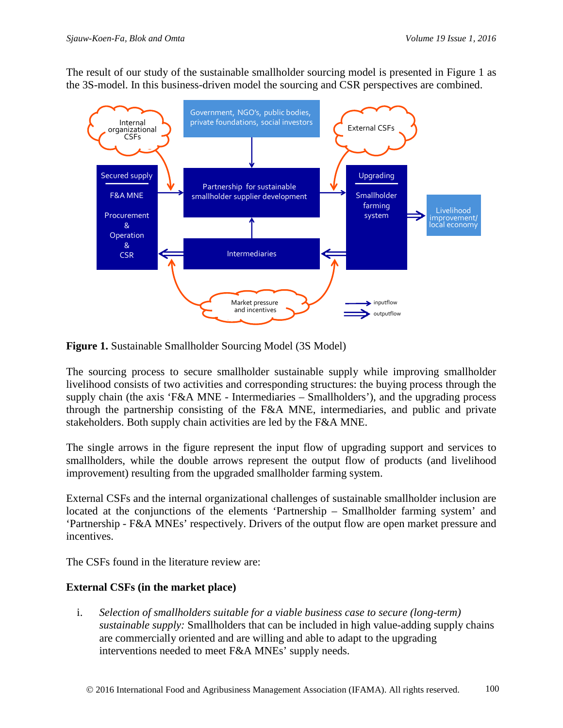The result of our study of the sustainable smallholder sourcing model is presented in Figure 1 as the 3S-model. In this business-driven model the sourcing and CSR perspectives are combined.





The sourcing process to secure smallholder sustainable supply while improving smallholder livelihood consists of two activities and corresponding structures: the buying process through the supply chain (the axis 'F&A MNE - Intermediaries – Smallholders'), and the upgrading process through the partnership consisting of the F&A MNE, intermediaries, and public and private stakeholders. Both supply chain activities are led by the F&A MNE.

The single arrows in the figure represent the input flow of upgrading support and services to smallholders, while the double arrows represent the output flow of products (and livelihood improvement) resulting from the upgraded smallholder farming system.

External CSFs and the internal organizational challenges of sustainable smallholder inclusion are located at the conjunctions of the elements 'Partnership – Smallholder farming system' and 'Partnership - F&A MNEs' respectively. Drivers of the output flow are open market pressure and incentives.

The CSFs found in the literature review are:

#### **External CSFs (in the market place)**

i. *Selection of smallholders suitable for a viable business case to secure (long-term) sustainable supply:* Smallholders that can be included in high value-adding supply chains are commercially oriented and are willing and able to adapt to the upgrading interventions needed to meet F&A MNEs' supply needs.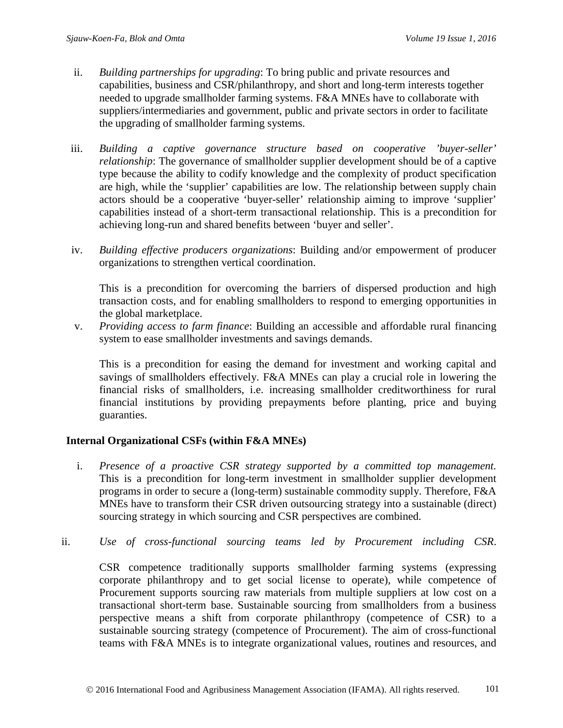- ii. *Building partnerships for upgrading*: To bring public and private resources and capabilities, business and CSR/philanthropy, and short and long-term interests together needed to upgrade smallholder farming systems. F&A MNEs have to collaborate with suppliers/intermediaries and government, public and private sectors in order to facilitate the upgrading of smallholder farming systems.
- iii. *Building a captive governance structure based on cooperative 'buyer-seller' relationship*: The governance of smallholder supplier development should be of a captive type because the ability to codify knowledge and the complexity of product specification are high, while the 'supplier' capabilities are low. The relationship between supply chain actors should be a cooperative 'buyer-seller' relationship aiming to improve 'supplier' capabilities instead of a short-term transactional relationship. This is a precondition for achieving long-run and shared benefits between 'buyer and seller'.
- iv. *Building effective producers organizations*: Building and/or empowerment of producer organizations to strengthen vertical coordination.

This is a precondition for overcoming the barriers of dispersed production and high transaction costs, and for enabling smallholders to respond to emerging opportunities in the global marketplace.

v. *Providing access to farm finance*: Building an accessible and affordable rural financing system to ease smallholder investments and savings demands.

This is a precondition for easing the demand for investment and working capital and savings of smallholders effectively. F&A MNEs can play a crucial role in lowering the financial risks of smallholders, i.e. increasing smallholder creditworthiness for rural financial institutions by providing prepayments before planting, price and buying guaranties.

#### **Internal Organizational CSFs (within F&A MNEs)**

- i. *Presence of a proactive CSR strategy supported by a committed top management.* This is a precondition for long-term investment in smallholder supplier development programs in order to secure a (long-term) sustainable commodity supply. Therefore, F&A MNEs have to transform their CSR driven outsourcing strategy into a sustainable (direct) sourcing strategy in which sourcing and CSR perspectives are combined.
- ii. *Use of cross-functional sourcing teams led by Procurement including CSR*.

CSR competence traditionally supports smallholder farming systems (expressing corporate philanthropy and to get social license to operate), while competence of Procurement supports sourcing raw materials from multiple suppliers at low cost on a transactional short-term base. Sustainable sourcing from smallholders from a business perspective means a shift from corporate philanthropy (competence of CSR) to a sustainable sourcing strategy (competence of Procurement). The aim of cross-functional teams with F&A MNEs is to integrate organizational values, routines and resources, and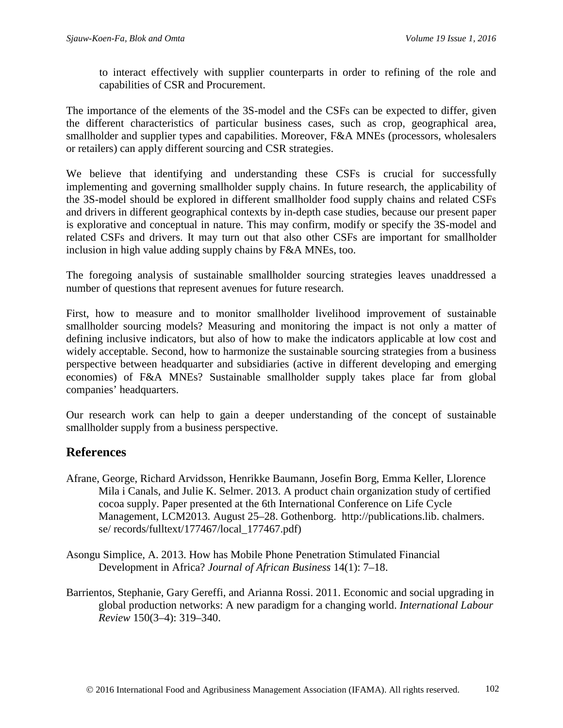to interact effectively with supplier counterparts in order to refining of the role and capabilities of CSR and Procurement.

The importance of the elements of the 3S-model and the CSFs can be expected to differ, given the different characteristics of particular business cases, such as crop, geographical area, smallholder and supplier types and capabilities. Moreover, F&A MNEs (processors, wholesalers or retailers) can apply different sourcing and CSR strategies.

We believe that identifying and understanding these CSFs is crucial for successfully implementing and governing smallholder supply chains. In future research, the applicability of the 3S-model should be explored in different smallholder food supply chains and related CSFs and drivers in different geographical contexts by in-depth case studies, because our present paper is explorative and conceptual in nature. This may confirm, modify or specify the 3S-model and related CSFs and drivers. It may turn out that also other CSFs are important for smallholder inclusion in high value adding supply chains by F&A MNEs, too.

The foregoing analysis of sustainable smallholder sourcing strategies leaves unaddressed a number of questions that represent avenues for future research.

First, how to measure and to monitor smallholder livelihood improvement of sustainable smallholder sourcing models? Measuring and monitoring the impact is not only a matter of defining inclusive indicators, but also of how to make the indicators applicable at low cost and widely acceptable. Second, how to harmonize the sustainable sourcing strategies from a business perspective between headquarter and subsidiaries (active in different developing and emerging economies) of F&A MNEs? Sustainable smallholder supply takes place far from global companies' headquarters.

Our research work can help to gain a deeper understanding of the concept of sustainable smallholder supply from a business perspective.

# **References**

- Afrane, George, Richard Arvidsson, Henrikke Baumann, Josefin Borg, Emma Keller, Llorence Mila i Canals, and Julie K. Selmer. 2013. A product chain organization study of certified cocoa supply. Paper presented at the 6th International Conference on Life Cycle Management, LCM2013. August 25–28. Gothenborg. http://publications.lib. chalmers. se/ records/fulltext/177467/local\_177467.pdf)
- Asongu Simplice, A. 2013. How has Mobile Phone Penetration Stimulated Financial Development in Africa? *Journal of African Business* 14(1): 7–18.
- Barrientos, Stephanie, Gary Gereffi, and Arianna Rossi. 2011. Economic and social upgrading in global production networks: A new paradigm for a changing world. *International Labour Review* 150(3–4): 319–340.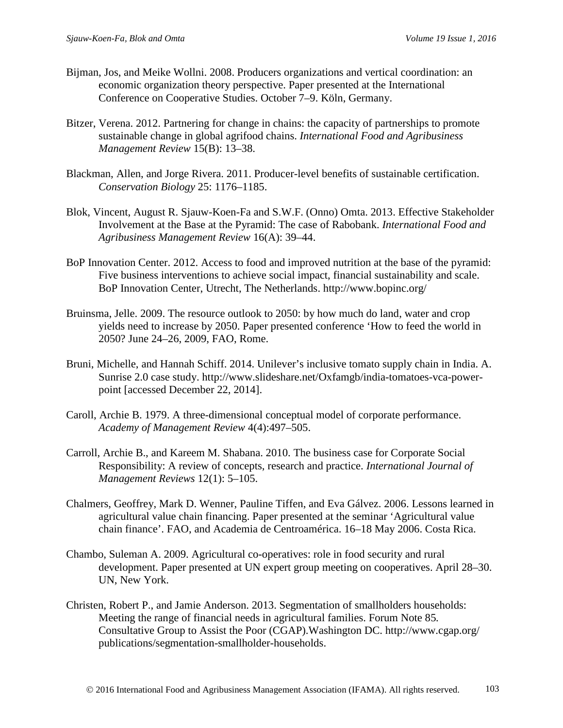- Bijman, Jos, and Meike Wollni. 2008. Producers organizations and vertical coordination: an economic organization theory perspective. Paper presented at the International Conference on Cooperative Studies. October 7–9. Köln, Germany.
- Bitzer, Verena. 2012. Partnering for change in chains: the capacity of partnerships to promote sustainable change in global agrifood chains. *International Food and Agribusiness Management Review* 15(B): 13–38.
- Blackman, Allen, and Jorge Rivera. 2011. Producer-level benefits of sustainable certification. *Conservation Biology* 25: 1176–1185.
- Blok, Vincent, August R. Sjauw-Koen-Fa and S.W.F. (Onno) Omta. 2013. Effective Stakeholder Involvement at the Base at the Pyramid: The case of Rabobank. *International Food and Agribusiness Management Review* 16(A): 39–44.
- BoP Innovation Center. 2012. Access to food and improved nutrition at the base of the pyramid: Five business interventions to achieve social impact, financial sustainability and scale. BoP Innovation Center, Utrecht, The Netherlands. http://www.bopinc.org/
- Bruinsma, Jelle. 2009. The resource outlook to 2050: by how much do land, water and crop yields need to increase by 2050. Paper presented conference 'How to feed the world in 2050? June 24–26, 2009, FAO, Rome.
- Bruni, Michelle, and Hannah Schiff. 2014. Unilever's inclusive tomato supply chain in India. A. Sunrise 2.0 case study. http://www.slideshare.net/Oxfamgb/india-tomatoes-vca-powerpoint [accessed December 22, 2014].
- Caroll, Archie B. 1979. A three-dimensional conceptual model of corporate performance. *Academy of Management Review* 4(4):497–505.
- Carroll, Archie B., and Kareem M. Shabana. 2010. The business case for Corporate Social Responsibility: A review of concepts, research and practice. *International Journal of Management Reviews* 12(1): 5–105.
- Chalmers, Geoffrey, Mark D. Wenner, Pauline Tiffen, and Eva Gálvez. 2006. Lessons learned in agricultural value chain financing. Paper presented at the seminar 'Agricultural value chain finance'. FAO, and Academia de Centroamérica. 16–18 May 2006. Costa Rica.
- Chambo, Suleman A. 2009. Agricultural co-operatives: role in food security and rural development. Paper presented at UN expert group meeting on cooperatives. April 28–30. UN, New York.
- Christen, Robert P., and Jamie Anderson. 2013. Segmentation of smallholders households: Meeting the range of financial needs in agricultural families. Forum Note 85*.*  Consultative Group to Assist the Poor (CGAP).Washington DC. http://www.cgap.org/ publications/segmentation-smallholder-households.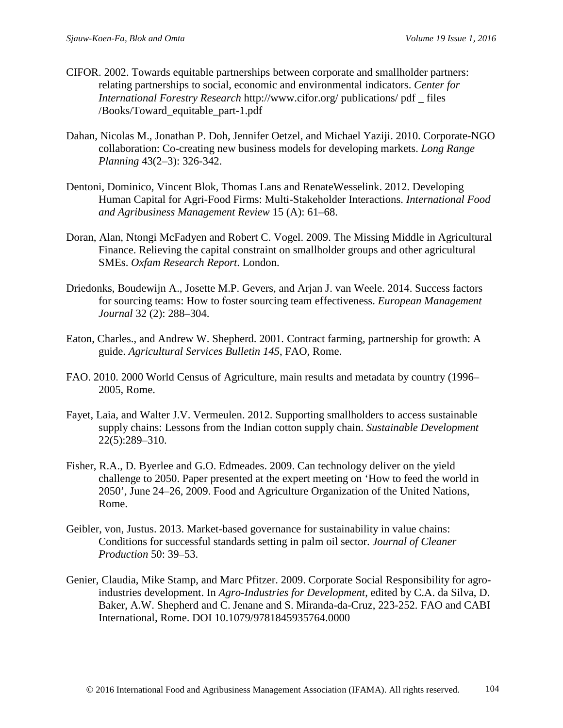- CIFOR. 2002. Towards equitable partnerships between corporate and smallholder partners: relating partnerships to social, economic and environmental indicators. *Center for International Forestry Research* http://www.cifor.org/ publications/ pdf \_ files /Books/Toward\_equitable\_part-1.pdf
- Dahan, Nicolas M., Jonathan P. Doh, Jennifer Oetzel, and Michael Yaziji. 2010. Corporate-NGO collaboration: Co-creating new business models for developing markets. *Long Range Planning* 43(2–3): 326-342.
- Dentoni, Dominico, Vincent Blok, Thomas Lans and RenateWesselink. 2012. Developing Human Capital for Agri-Food Firms: Multi-Stakeholder Interactions. *International Food and Agribusiness Management Review* 15 (A): 61–68.
- Doran, Alan, Ntongi McFadyen and Robert C. Vogel. 2009. The Missing Middle in Agricultural Finance. Relieving the capital constraint on smallholder groups and other agricultural SMEs. *Oxfam Research Report*. London.
- Driedonks, Boudewijn A., Josette M.P. Gevers, and Arjan J. van Weele. 2014. Success factors for sourcing teams: How to foster sourcing team effectiveness. *European Management Journal* 32 (2): 288–304.
- Eaton, Charles., and Andrew W. Shepherd. 2001*.* Contract farming, partnership for growth: A guide. *Agricultural Services Bulletin 145*, FAO, Rome.
- FAO. 2010. 2000 World Census of Agriculture, main results and metadata by country (1996– 2005, Rome.
- Fayet, Laia, and Walter J.V. Vermeulen. 2012. Supporting smallholders to access sustainable supply chains: Lessons from the Indian cotton supply chain. *Sustainable Development*  22(5):289–310.
- Fisher, R.A., D. Byerlee and G.O. Edmeades. 2009. Can technology deliver on the yield challenge to 2050. Paper presented at the expert meeting on 'How to feed the world in 2050'*,* June 24–26, 2009. Food and Agriculture Organization of the United Nations, Rome.
- Geibler, von, Justus. 2013. Market-based governance for sustainability in value chains: Conditions for successful standards setting in palm oil sector. *Journal of Cleaner Production* 50: 39–53.
- Genier, Claudia, Mike Stamp, and Marc Pfitzer. 2009. Corporate Social Responsibility for agroindustries development. In *Agro-Industries for Development*, edited by C.A. da Silva, D. Baker, A.W. Shepherd and C. Jenane and S. Miranda-da-Cruz, 223-252. FAO and CABI International, Rome. DOI 10.1079/9781845935764.0000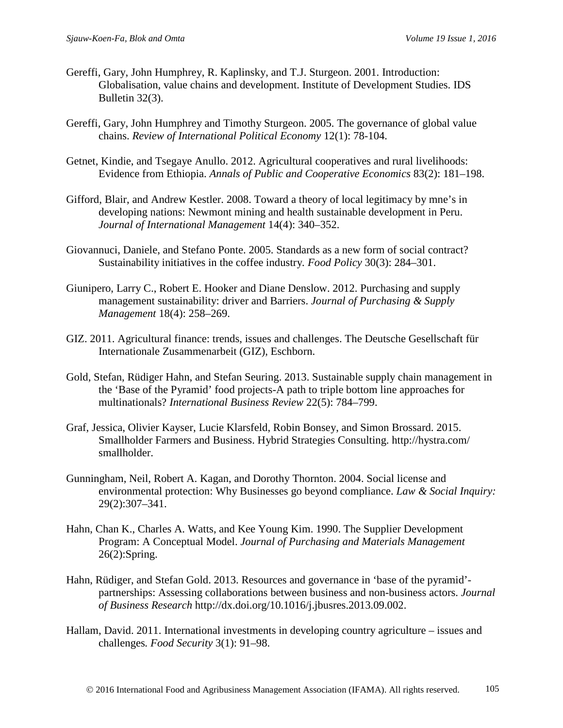- Gereffi, Gary, John Humphrey, R. Kaplinsky, and T.J. Sturgeon. 2001. Introduction: Globalisation, value chains and development. Institute of Development Studies. IDS Bulletin 32(3).
- Gereffi, Gary, John Humphrey and Timothy Sturgeon. 2005. The governance of global value chains. *Review of International Political Economy* 12(1): 78-104.
- Getnet, Kindie, and Tsegaye Anullo. 2012. Agricultural cooperatives and rural livelihoods: Evidence from Ethiopia. *Annals of Public and Cooperative Economics* 83(2): 181–198.
- Gifford, Blair, and Andrew Kestler. 2008. Toward a theory of local legitimacy by mne's in developing nations: Newmont mining and health sustainable development in Peru. *Journal of International Management* 14(4): 340–352.
- Giovannuci, Daniele, and Stefano Ponte. 2005. Standards as a new form of social contract? Sustainability initiatives in the coffee industry*. Food Policy* 30(3): 284–301.
- Giunipero, Larry C., Robert E. Hooker and Diane Denslow. 2012. Purchasing and supply management sustainability: driver and Barriers. *Journal of Purchasing & Supply Management* 18(4): 258–269.
- GIZ. 2011. Agricultural finance: trends, issues and challenges. The Deutsche Gesellschaft für Internationale Zusammenarbeit (GIZ), Eschborn.
- Gold, Stefan, Rüdiger Hahn, and Stefan Seuring. 2013. Sustainable supply chain management in the 'Base of the Pyramid' food projects-A path to triple bottom line approaches for multinationals? *International Business Review* 22(5): 784–799.
- Graf, Jessica, Olivier Kayser, Lucie Klarsfeld, Robin Bonsey, and Simon Brossard. 2015. Smallholder Farmers and Business. Hybrid Strategies Consulting. http://hystra.com/ smallholder.
- Gunningham, Neil, Robert A. Kagan, and Dorothy Thornton. 2004. Social license and environmental protection: Why Businesses go beyond compliance. *Law & Social Inquiry:*  29(2):307–341.
- Hahn, Chan K., Charles A. Watts, and Kee Young Kim. 1990. The Supplier Development Program: A Conceptual Model. *Journal of Purchasing and Materials Management* 26(2):Spring.
- Hahn, Rüdiger, and Stefan Gold. 2013. Resources and governance in 'base of the pyramid' partnerships: Assessing collaborations between business and non-business actors. *Journal of Business Research* http://dx.doi.org/10.1016/j.jbusres.2013.09.002.
- Hallam, David. 2011. International investments in developing country agriculture issues and challenges*. Food Security* 3(1): 91–98.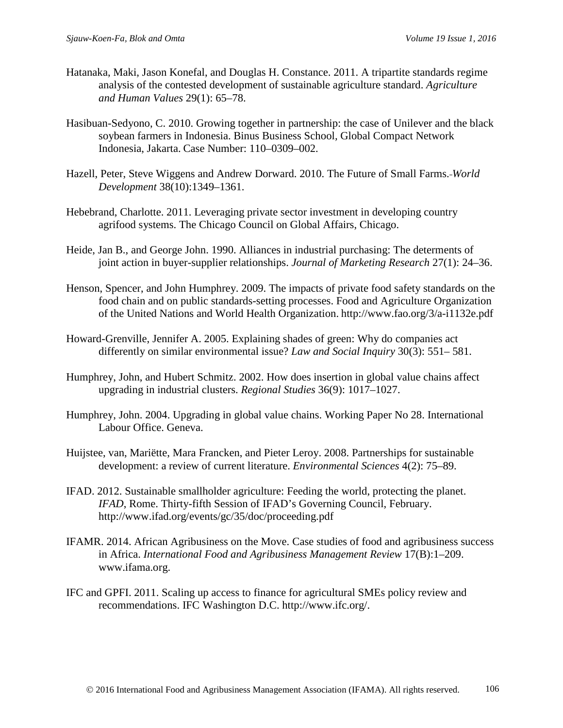- Hatanaka, Maki, Jason Konefal, and Douglas H. Constance. 2011. A tripartite standards regime analysis of the contested development of sustainable agriculture standard. *Agriculture and Human Values* 29(1): 65–78.
- Hasibuan-Sedyono, C. 2010. Growing together in partnership: the case of Unilever and the black soybean farmers in Indonesia. Binus Business School*,* Global Compact Network Indonesia, Jakarta. Case Number: 110–0309–002.
- Hazell, Peter, Steve Wiggens and Andrew Dorward. 2010. The Future of Small Farms. *World Development* 38(10):1349–1361.
- Hebebrand, Charlotte. 2011. Leveraging private sector investment in developing country agrifood systems. The Chicago Council on Global Affairs, Chicago.
- Heide, Jan B., and George John. 1990. Alliances in industrial purchasing: The determents of joint action in buyer-supplier relationships. *Journal of Marketing Research* 27(1): 24–36.
- Henson, Spencer, and John Humphrey. 2009. The impacts of private food safety standards on the food chain and on public standards-setting processes. Food and Agriculture Organization of the United Nations and World Health Organization. http://www.fao.org/3/a-i1132e.pdf
- Howard-Grenville, Jennifer A. 2005. Explaining shades of green: Why do companies act differently on similar environmental issue? *Law and Social Inquiry* 30(3): 551– 581.
- Humphrey, John, and Hubert Schmitz. 2002. How does insertion in global value chains affect upgrading in industrial clusters. *Regional Studies* 36(9): 1017–1027.
- Humphrey, John. 2004. Upgrading in global value chains. Working Paper No 28. International Labour Office. Geneva.
- Huijstee, van, Mariëtte, Mara Francken, and Pieter Leroy. 2008. Partnerships for sustainable development: a review of current literature. *Environmental Sciences* 4(2): 75–89.
- IFAD. 2012. Sustainable smallholder agriculture: Feeding the world, protecting the planet. *IFAD*, Rome. Thirty-fifth Session of IFAD's Governing Council, February. http://www.ifad.org/events/gc/35/doc/proceeding.pdf
- IFAMR. 2014. African Agribusiness on the Move. Case studies of food and agribusiness success in Africa. *International Food and Agribusiness Management Review* 17(B):1–209. www.ifama.org.
- IFC and GPFI. 2011. Scaling up access to finance for agricultural SMEs policy review and recommendations. IFC Washington D.C. http://www.ifc.org/.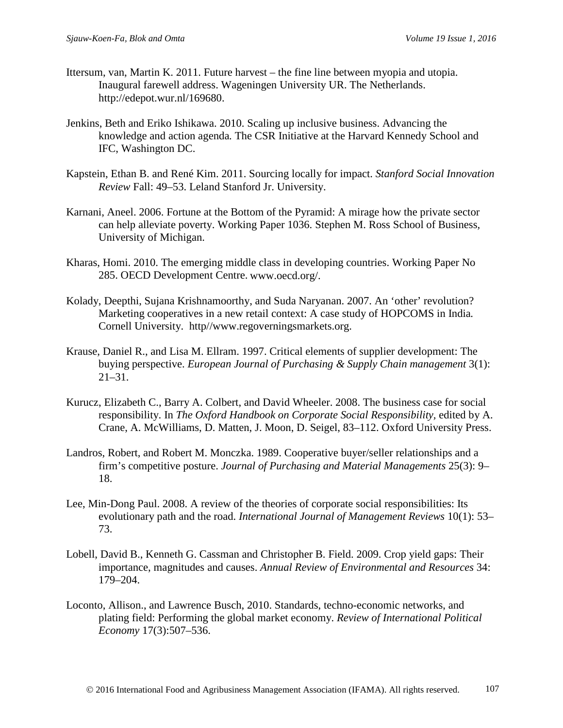- Ittersum, van, Martin K. 2011. Future harvest the fine line between myopia and utopia. Inaugural farewell address. Wageningen University UR. The Netherlands. http://edepot.wur.nl/169680.
- Jenkins, Beth and Eriko Ishikawa. 2010. Scaling up inclusive business. Advancing the knowledge and action agenda*.* The CSR Initiative at the Harvard Kennedy School and IFC, Washington DC.
- Kapstein, Ethan B. and René Kim. 2011. Sourcing locally for impact. *Stanford Social Innovation Review* Fall: 49–53. Leland Stanford Jr. University.
- Karnani, Aneel. 2006. Fortune at the Bottom of the Pyramid: A mirage how the private sector can help alleviate poverty. Working Paper 1036. Stephen M. Ross School of Business*,*  University of Michigan.
- Kharas, Homi. 2010. The emerging middle class in developing countries. Working Paper No 285. OECD Development Centre. www.oecd.org/.
- Kolady, Deepthi, Sujana Krishnamoorthy, and Suda Naryanan. 2007. An 'other' revolution? Marketing cooperatives in a new retail context: A case study of HOPCOMS in India*.*  Cornell University. http//www.regoverningsmarkets.org.
- Krause, Daniel R., and Lisa M. Ellram. 1997. Critical elements of supplier development: The buying perspective. *European Journal of Purchasing & Supply Chain management* 3(1): 21–31.
- Kurucz, Elizabeth C., Barry A. Colbert, and David Wheeler. 2008. The business case for social responsibility. In *The Oxford Handbook on Corporate Social Responsibility,* edited by A. Crane, A. McWilliams, D. Matten, J. Moon, D. Seigel, 83–112. Oxford University Press.
- Landros, Robert, and Robert M. Monczka. 1989. Cooperative buyer/seller relationships and a firm's competitive posture. *Journal of Purchasing and Material Managements* 25(3): 9– 18.
- Lee, Min-Dong Paul. 2008. A review of the theories of corporate social responsibilities: Its evolutionary path and the road. *International Journal of Management Reviews* 10(1): 53– 73.
- Lobell, David B., Kenneth G. Cassman and Christopher B. Field. 2009. Crop yield gaps: Their importance, magnitudes and causes. *Annual Review of Environmental and Resources* 34: 179–204.
- Loconto, Allison., and Lawrence Busch, 2010. Standards, techno-economic networks, and plating field: Performing the global market economy. *Review of International Political Economy* 17(3):507–536.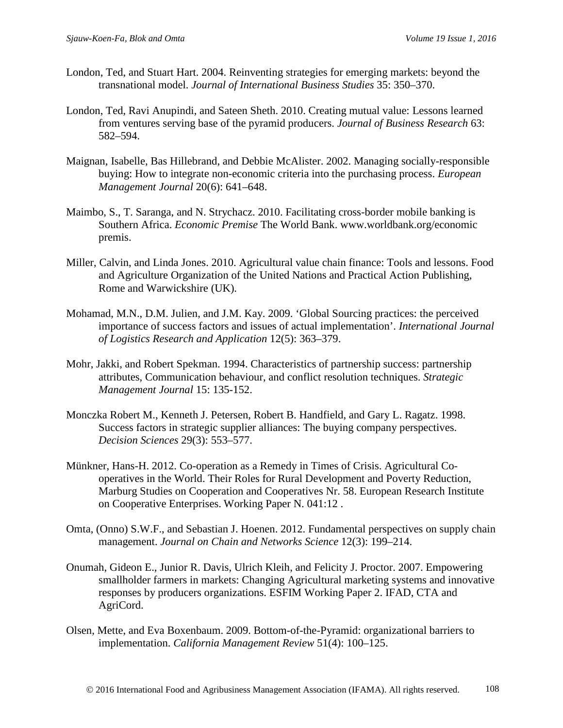- London, Ted, and Stuart Hart. 2004. Reinventing strategies for emerging markets: beyond the transnational model. *Journal of International Business Studies* 35: 350–370.
- London, Ted, Ravi Anupindi, and Sateen Sheth. 2010. Creating mutual value: Lessons learned from ventures serving base of the pyramid producers. *Journal of Business Research* 63: 582–594.
- Maignan, Isabelle, Bas Hillebrand, and Debbie McAlister. 2002. Managing socially-responsible buying: How to integrate non-economic criteria into the purchasing process. *European Management Journal* 20(6): 641–648.
- Maimbo, S., T. Saranga, and N. Strychacz. 2010. Facilitating cross-border mobile banking is Southern Africa. *Economic Premise* The World Bank. www.worldbank.org/economic premis.
- Miller, Calvin, and Linda Jones. 2010. Agricultural value chain finance: Tools and lessons. Food and Agriculture Organization of the United Nations and Practical Action Publishing, Rome and Warwickshire (UK).
- Mohamad, M.N., D.M. Julien, and J.M. Kay. 2009. 'Global Sourcing practices: the perceived importance of success factors and issues of actual implementation'. *International Journal of Logistics Research and Application* 12(5): 363–379.
- Mohr, Jakki, and Robert Spekman. 1994. Characteristics of partnership success: partnership attributes, Communication behaviour, and conflict resolution techniques. *Strategic Management Journal* 15: 135-152.
- Monczka Robert M., Kenneth J. Petersen, Robert B. Handfield, and Gary L. Ragatz. 1998. Success factors in strategic supplier alliances: The buying company perspectives. *Decision Sciences* 29(3): 553–577.
- Münkner, Hans-H. 2012. Co-operation as a Remedy in Times of Crisis. Agricultural Cooperatives in the World. Their Roles for Rural Development and Poverty Reduction, Marburg Studies on Cooperation and Cooperatives Nr. 58. European Research Institute on Cooperative Enterprises. Working Paper N. 041:12 .
- Omta, (Onno) S.W.F., and Sebastian J. Hoenen. 2012. Fundamental perspectives on supply chain management. *Journal on Chain and Networks Science* 12(3): 199–214.
- Onumah, Gideon E., Junior R. Davis, Ulrich Kleih, and Felicity J. Proctor. 2007. Empowering smallholder farmers in markets: Changing Agricultural marketing systems and innovative responses by producers organizations. ESFIM Working Paper 2. IFAD, CTA and AgriCord.
- Olsen, Mette, and Eva Boxenbaum. 2009. Bottom-of-the-Pyramid: organizational barriers to implementation. *California Management Review* 51(4): 100–125.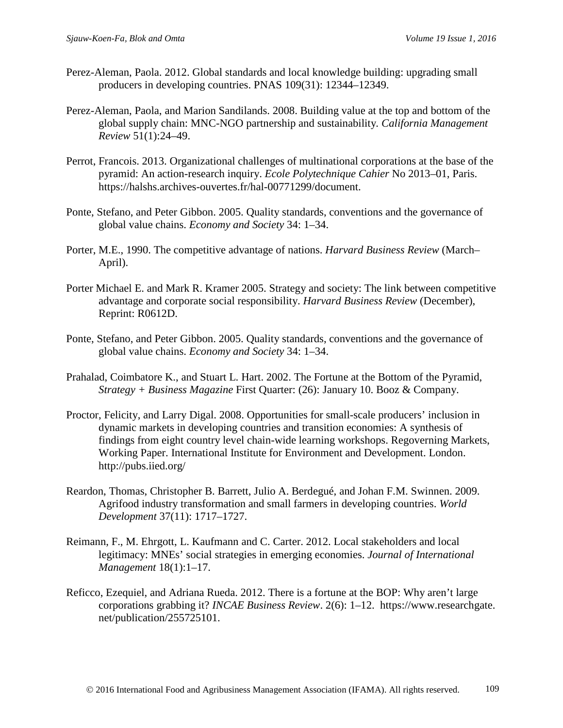- Perez-Aleman, Paola. 2012. Global standards and local knowledge building: upgrading small producers in developing countries. PNAS 109(31): 12344–12349.
- Perez-Aleman, Paola, and Marion Sandilands. 2008. Building value at the top and bottom of the global supply chain: MNC-NGO partnership and sustainability*. California Management Review* 51(1):24–49.
- Perrot, Francois. 2013. Organizational challenges of multinational corporations at the base of the pyramid: An action-research inquiry. *Ecole Polytechnique Cahier* No 2013–01, Paris. https://halshs.archives-ouvertes.fr/hal-00771299/document.
- Ponte, Stefano, and Peter Gibbon. 2005. Quality standards, conventions and the governance of global value chains. *Economy and Society* 34: 1–34.
- Porter, M.E., 1990. The competitive advantage of nations. *Harvard Business Review* (March– April).
- Porter Michael E. and Mark R. Kramer 2005. Strategy and society: The link between competitive advantage and corporate social responsibility. *Harvard Business Review* (December), Reprint: R0612D.
- Ponte, Stefano, and Peter Gibbon. 2005. Quality standards, conventions and the governance of global value chains. *Economy and Society* 34: 1–34.
- Prahalad, Coimbatore K., and Stuart L. Hart. 2002. The Fortune at the Bottom of the Pyramid, *Strategy + Business Magazine* First Quarter: (26): January 10. Booz & Company.
- Proctor, Felicity, and Larry Digal. 2008. Opportunities for small-scale producers' inclusion in dynamic markets in developing countries and transition economies: A synthesis of findings from eight country level chain-wide learning workshops. Regoverning Markets, Working Paper. International Institute for Environment and Development. London. http://pubs.iied.org/
- Reardon, Thomas, Christopher B. Barrett, Julio A. Berdegué, and Johan F.M. Swinnen. 2009. Agrifood industry transformation and small farmers in developing countries. *World Development* 37(11): 1717–1727.
- Reimann, F., M. Ehrgott, L. Kaufmann and C. Carter. 2012. Local stakeholders and local legitimacy: MNEs' social strategies in emerging economies. *Journal of International Management* 18(1):1–17.
- Reficco, Ezequiel, and Adriana Rueda. 2012. There is a fortune at the BOP: Why aren't large corporations grabbing it? *INCAE Business Review*. 2(6): 1–12. https://www.researchgate. net/publication/255725101.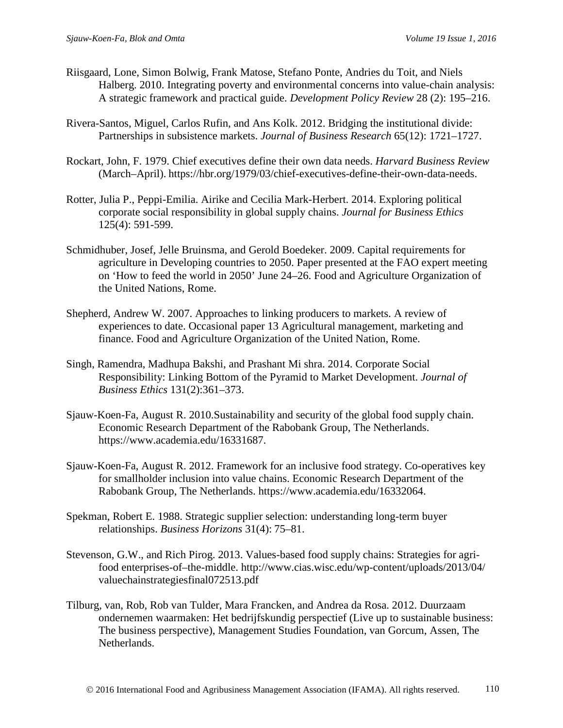- Riisgaard, Lone, Simon Bolwig, Frank Matose, Stefano Ponte, Andries du Toit, and Niels Halberg. 2010. Integrating poverty and environmental concerns into value-chain analysis: A strategic framework and practical guide. *Development Policy Review* 28 (2): 195–216.
- Rivera-Santos, Miguel, Carlos Rufin, and Ans Kolk. 2012. Bridging the institutional divide: Partnerships in subsistence markets. *Journal of Business Research* 65(12): 1721–1727.
- Rockart, John, F. 1979. Chief executives define their own data needs. *Harvard Business Review* (March–April). https://hbr.org/1979/03/chief-executives-define-their-own-data-needs.
- Rotter, Julia P., Peppi-Emilia. Airike and Cecilia Mark-Herbert. 2014. Exploring political corporate social responsibility in global supply chains. *Journal for Business Ethics* 125(4): 591-599.
- Schmidhuber, Josef, Jelle Bruinsma, and Gerold Boedeker. 2009. Capital requirements for agriculture in Developing countries to 2050. Paper presented at the FAO expert meeting on 'How to feed the world in 2050' June 24–26. Food and Agriculture Organization of the United Nations, Rome.
- Shepherd, Andrew W. 2007. Approaches to linking producers to markets. A review of experiences to date. Occasional paper 13 Agricultural management, marketing and finance. Food and Agriculture Organization of the United Nation, Rome.
- Singh, Ramendra, Madhupa Bakshi, and Prashant Mi shra. 2014. Corporate Social Responsibility: Linking Bottom of the Pyramid to Market Development. *Journal of Business Ethics* 131(2):361–373.
- Sjauw-Koen-Fa, August R. 2010.Sustainability and security of the global food supply chain. Economic Research Department of the Rabobank Group, The Netherlands. https://www.academia.edu/16331687.
- Sjauw-Koen-Fa, August R. 2012. Framework for an inclusive food strategy. Co-operatives key for smallholder inclusion into value chains. Economic Research Department of the Rabobank Group, The Netherlands. https://www.academia.edu/16332064.
- Spekman, Robert E. 1988. Strategic supplier selection: understanding long-term buyer relationships. *Business Horizons* 31(4): 75–81.
- Stevenson, G.W., and Rich Pirog. 2013. Values-based food supply chains: Strategies for agrifood enterprises-of–the-middle. http://www.cias.wisc.edu/wp-content/uploads/2013/04/ valuechainstrategiesfinal072513.pdf
- Tilburg, van, Rob, Rob van Tulder, Mara Francken, and Andrea da Rosa. 2012. Duurzaam ondernemen waarmaken: Het bedrijfskundig perspectief (Live up to sustainable business: The business perspective), Management Studies Foundation, van Gorcum, Assen, The Netherlands.